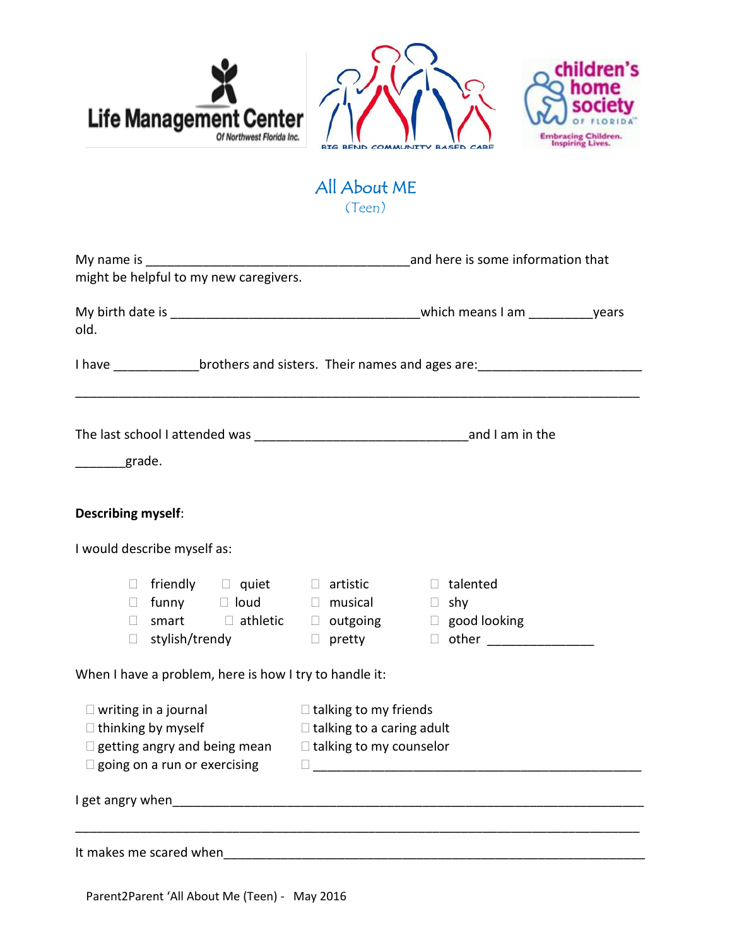





## All About ME (Teen)

| might be helpful to my new caregivers.                                                                                                                                                                                                       |                                                                                                       |
|----------------------------------------------------------------------------------------------------------------------------------------------------------------------------------------------------------------------------------------------|-------------------------------------------------------------------------------------------------------|
| old.                                                                                                                                                                                                                                         |                                                                                                       |
|                                                                                                                                                                                                                                              | I have brothers and sisters. Their names and ages are:                                                |
| grade.                                                                                                                                                                                                                                       |                                                                                                       |
| <b>Describing myself:</b>                                                                                                                                                                                                                    |                                                                                                       |
| I would describe myself as:                                                                                                                                                                                                                  |                                                                                                       |
| $\Box$ friendly $\Box$ quiet $\Box$ artistic<br>$\Box$ funny $\Box$ loud $\Box$ musical<br>$\Box$<br>$\Box$ stylish/trendy                                                                                                                   | $\Box$ talented<br>$\Box$ shy<br>smart <b>I</b> athletic  I outgoing  I good looking<br>$\Box$ pretty |
| When I have a problem, here is how I try to handle it:                                                                                                                                                                                       |                                                                                                       |
| $\Box$ writing in a journal<br>$\Box$ talking to my friends<br>$\Box$ thinking by myself<br>$\Box$ talking to a caring adult<br>$\Box$ getting angry and being mean $\Box$ talking to my counselor<br>$\square$ going on a run or exercising |                                                                                                       |
|                                                                                                                                                                                                                                              |                                                                                                       |
| It makes me scared when                                                                                                                                                                                                                      |                                                                                                       |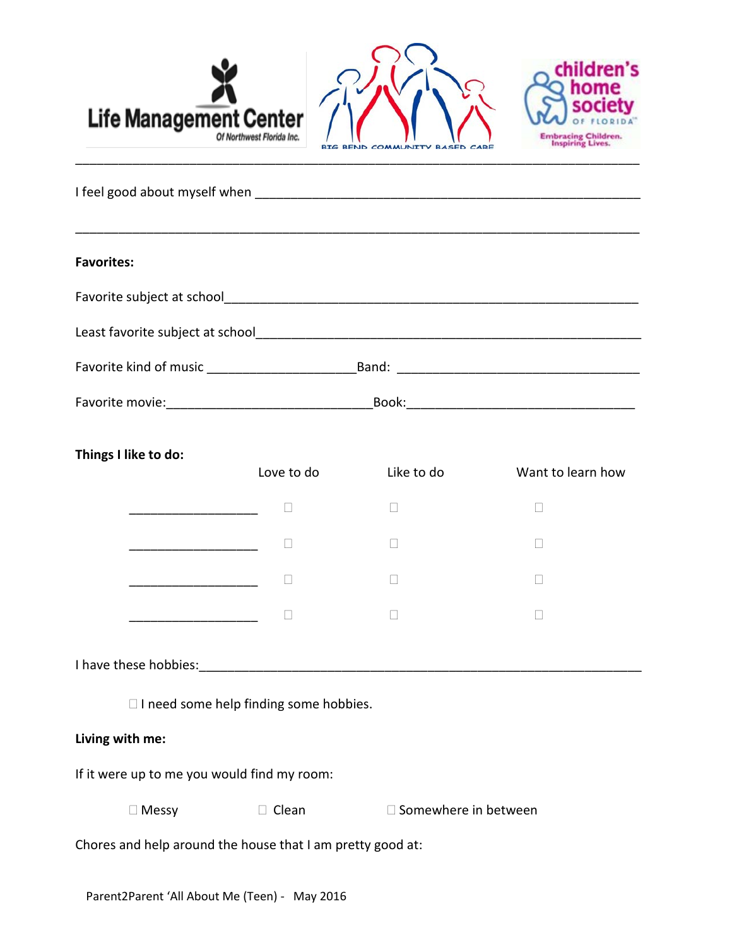

| <b>Favorites:</b>                                       |       |  |
|---------------------------------------------------------|-------|--|
|                                                         |       |  |
| Least favorite subject at school                        |       |  |
| Favorite kind of music<br><u>Favorite</u> kind of music |       |  |
|                                                         | Book: |  |

| Things I like to do: | Love to do | Like to do | Want to learn how |
|----------------------|------------|------------|-------------------|
|                      | L          | ×.         | L                 |
|                      | L          |            | L                 |
|                      |            |            |                   |
|                      |            |            |                   |

I have these hobbies:  $\blacksquare$ 

□ I need some help finding some hobbies.

## **Living with me:**

If it were up to me you would find my room:

 $\square$  Messy  $\square$  Clean  $\square$  Somewhere in between

Chores and help around the house that I am pretty good at: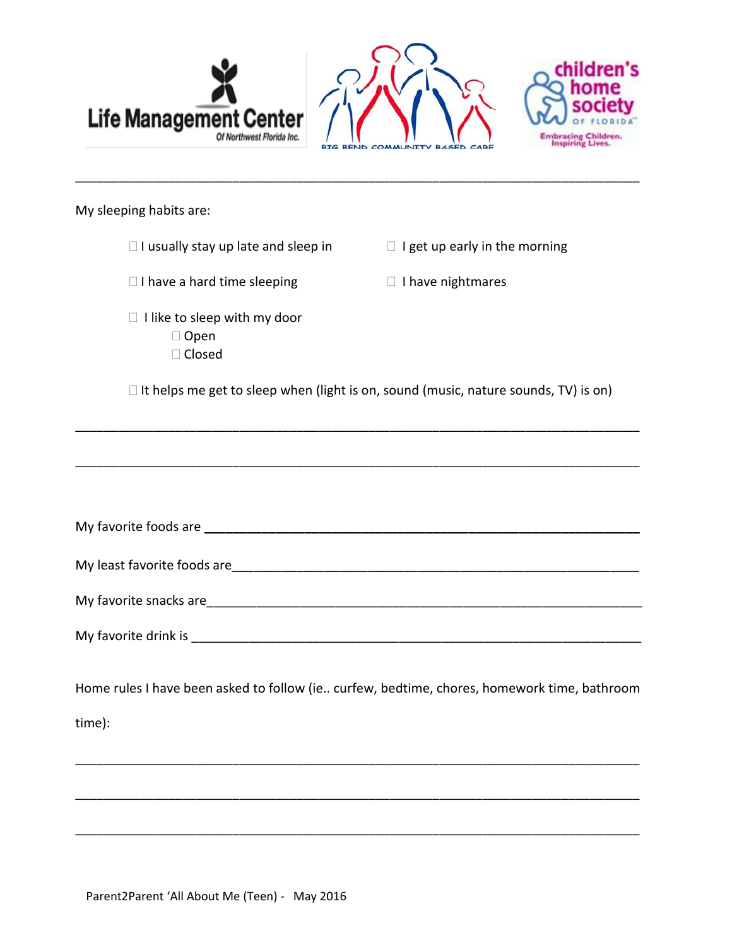| <b>Life Management Center</b><br>Of Northwest Florida Inc. |                                                | children's<br>home<br><b>SOCIEty</b><br><b>Embracing Children.</b><br><b>Inspiring Lives.</b> |
|------------------------------------------------------------|------------------------------------------------|-----------------------------------------------------------------------------------------------|
|                                                            | <b>BEND COMMUNITY BASED CARE</b><br><b>BIG</b> |                                                                                               |

\_\_\_\_\_\_\_\_\_\_\_\_\_\_\_\_\_\_\_\_\_\_\_\_\_\_\_\_\_\_\_\_\_\_\_\_\_\_\_\_\_\_\_\_\_\_\_\_\_\_\_\_\_\_\_\_\_\_\_\_\_\_\_\_\_\_\_\_\_\_\_\_\_\_\_\_\_\_\_

| My sleeping habits are: |  |
|-------------------------|--|
|-------------------------|--|

| $\Box$ I usually stay up late and sleep in                                                 | $\Box$ I get up early in the morning |
|--------------------------------------------------------------------------------------------|--------------------------------------|
| $\Box$ I have a hard time sleeping                                                         | $\Box$ I have nightmares             |
| $\Box$ I like to sleep with my door<br>$\Box$ Open<br>□ Closed                             |                                      |
| $\Box$ It helps me get to sleep when (light is on, sound (music, nature sounds, TV) is on) |                                      |
|                                                                                            |                                      |
|                                                                                            |                                      |
|                                                                                            |                                      |
| My least favorite foods are                                                                |                                      |
|                                                                                            |                                      |

My favorite drink is \_\_\_\_\_\_\_\_\_\_\_\_\_\_\_\_\_\_\_\_\_\_\_\_\_\_\_\_\_\_\_\_\_\_\_\_\_\_\_\_\_\_\_\_\_\_\_\_\_\_\_\_\_\_\_\_\_\_\_\_\_\_\_

My favorite snacks are\_\_\_\_\_\_\_\_\_\_\_\_\_\_\_\_\_\_\_\_\_\_\_\_\_\_\_\_\_\_\_\_\_\_\_\_\_\_\_\_\_\_\_\_\_\_\_\_\_\_\_\_\_\_\_\_\_\_\_\_\_

Home rules I have been asked to follow (ie.. curfew, bedtime, chores, homework time, bathroom time):

\_\_\_\_\_\_\_\_\_\_\_\_\_\_\_\_\_\_\_\_\_\_\_\_\_\_\_\_\_\_\_\_\_\_\_\_\_\_\_\_\_\_\_\_\_\_\_\_\_\_\_\_\_\_\_\_\_\_\_\_\_\_\_\_\_\_\_\_\_\_\_\_\_\_\_\_\_\_\_

\_\_\_\_\_\_\_\_\_\_\_\_\_\_\_\_\_\_\_\_\_\_\_\_\_\_\_\_\_\_\_\_\_\_\_\_\_\_\_\_\_\_\_\_\_\_\_\_\_\_\_\_\_\_\_\_\_\_\_\_\_\_\_\_\_\_\_\_\_\_\_\_\_\_\_\_\_\_\_

\_\_\_\_\_\_\_\_\_\_\_\_\_\_\_\_\_\_\_\_\_\_\_\_\_\_\_\_\_\_\_\_\_\_\_\_\_\_\_\_\_\_\_\_\_\_\_\_\_\_\_\_\_\_\_\_\_\_\_\_\_\_\_\_\_\_\_\_\_\_\_\_\_\_\_\_\_\_\_